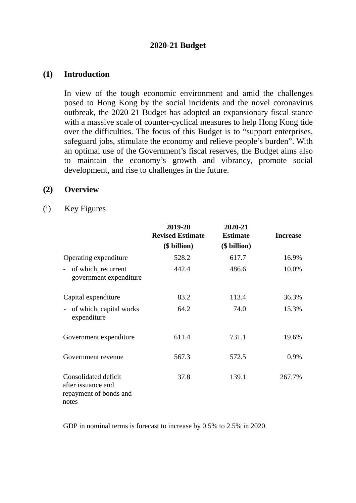## **2020-21 Budget**

#### **(1) Introduction**

In view of the tough economic environment and amid the challenges posed to Hong Kong by the social incidents and the novel coronavirus outbreak, the 2020-21 Budget has adopted an expansionary fiscal stance with a massive scale of counter-cyclical measures to help Hong Kong tide over the difficulties. The focus of this Budget is to "support enterprises, safeguard jobs, stimulate the economy and relieve people's burden". With an optimal use of the Government's fiscal reserves, the Budget aims also to maintain the economy's growth and vibrancy, promote social development, and rise to challenges in the future.

#### **(2) Overview**

#### (i) Key Figures

|                                                                               | 2019-20<br><b>Revised Estimate</b><br>(\$ billion) | 2020-21<br><b>Estimate</b><br>(\$ billion) | <b>Increase</b> |
|-------------------------------------------------------------------------------|----------------------------------------------------|--------------------------------------------|-----------------|
| Operating expenditure                                                         | 528.2                                              | 617.7                                      | 16.9%           |
| of which, recurrent<br>$\overline{\phantom{a}}$<br>government expenditure     | 442.4                                              | 486.6                                      | 10.0%           |
| Capital expenditure                                                           | 83.2                                               | 113.4                                      | 36.3%           |
| of which, capital works<br>$\overline{\phantom{0}}$<br>expenditure            | 64.2                                               | 74.0                                       | 15.3%           |
| Government expenditure                                                        | 611.4                                              | 731.1                                      | 19.6%           |
| Government revenue                                                            | 567.3                                              | 572.5                                      | 0.9%            |
| Consolidated deficit<br>after issuance and<br>repayment of bonds and<br>notes | 37.8                                               | 139.1                                      | 267.7%          |

GDP in nominal terms is forecast to increase by 0.5% to 2.5% in 2020.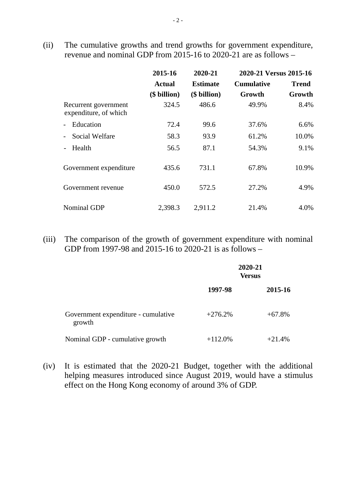(ii) The cumulative growths and trend growths for government expenditure, revenue and nominal GDP from 2015-16 to 2020-21 are as follows –

|                                               | 2015-16       | 2020-21         | 2020-21 Versus 2015-16 |              |
|-----------------------------------------------|---------------|-----------------|------------------------|--------------|
|                                               | <b>Actual</b> | <b>Estimate</b> | <b>Cumulative</b>      | <b>Trend</b> |
|                                               | (\$ billion)  | (\$ billion)    | Growth                 | Growth       |
| Recurrent government<br>expenditure, of which | 324.5         | 486.6           | 49.9%                  | 8.4%         |
| Education                                     | 72.4          | 99.6            | 37.6%                  | 6.6%         |
| Social Welfare                                | 58.3          | 93.9            | 61.2%                  | 10.0%        |
| Health                                        | 56.5          | 87.1            | 54.3%                  | 9.1%         |
| Government expenditure                        | 435.6         | 731.1           | 67.8%                  | 10.9%        |
| Government revenue                            | 450.0         | 572.5           | 27.2%                  | 4.9%         |
| <b>Nominal GDP</b>                            | 2,398.3       | 2,911.2         | 21.4%                  | 4.0%         |

(iii) The comparison of the growth of government expenditure with nominal GDP from 1997-98 and 2015-16 to 2020-21 is as follows –

|                                               | 2020-21<br><b>Versus</b> |           |
|-----------------------------------------------|--------------------------|-----------|
|                                               | 1997-98                  | 2015-16   |
| Government expenditure - cumulative<br>growth | $+276.2%$                | $+67.8\%$ |
| Nominal GDP - cumulative growth               | $+112.0%$                | $+21.4%$  |

(iv) It is estimated that the 2020-21 Budget, together with the additional helping measures introduced since August 2019, would have a stimulus effect on the Hong Kong economy of around 3% of GDP.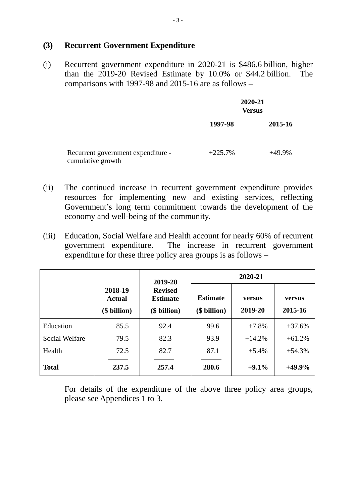#### **(3) Recurrent Government Expenditure**

(i) Recurrent government expenditure in 2020-21 is \$486.6 billion, higher than the 2019-20 Revised Estimate by 10.0% or \$44.2 billion. The comparisons with 1997-98 and 2015-16 are as follows –

|                                                         | 2020-21<br><b>Versus</b> |           |
|---------------------------------------------------------|--------------------------|-----------|
|                                                         | 1997-98                  | 2015-16   |
| Recurrent government expenditure -<br>cumulative growth | $+225.7%$                | $+49.9\%$ |

- (ii) The continued increase in recurrent government expenditure provides resources for implementing new and existing services, reflecting Government's long term commitment towards the development of the economy and well-being of the community.
- (iii) Education, Social Welfare and Health account for nearly 60% of recurrent government expenditure. The increase in recurrent government expenditure for these three policy area groups is as follows –

|                       |                                   | 2019-20                                           | 2020-21                         |                   |                   |
|-----------------------|-----------------------------------|---------------------------------------------------|---------------------------------|-------------------|-------------------|
|                       | 2018-19<br>Actual<br>(\$ billion) | <b>Revised</b><br><b>Estimate</b><br>(\$ billion) | <b>Estimate</b><br>(\$ billion) | versus<br>2019-20 | versus<br>2015-16 |
| Education             | 85.5                              | 92.4                                              | 99.6                            | $+7.8%$           | $+37.6%$          |
| <b>Social Welfare</b> | 79.5                              | 82.3                                              | 93.9                            | $+14.2%$          | $+61.2%$          |
| Health                | 72.5                              | 82.7                                              | 87.1                            | $+5.4\%$          | $+54.3%$          |
| <b>Total</b>          | 237.5                             | 257.4                                             | 280.6                           | $+9.1%$           | $+49.9%$          |

For details of the expenditure of the above three policy area groups, please see Appendices 1 to 3.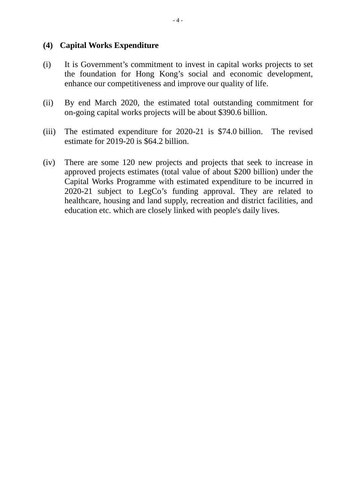#### **(4) Capital Works Expenditure**

- (i) It is Government's commitment to invest in capital works projects to set the foundation for Hong Kong's social and economic development, enhance our competitiveness and improve our quality of life.
- (ii) By end March 2020, the estimated total outstanding commitment for on-going capital works projects will be about \$390.6 billion.
- (iii) The estimated expenditure for 2020-21 is \$74.0 billion. The revised estimate for 2019-20 is \$64.2 billion.
- (iv) There are some 120 new projects and projects that seek to increase in approved projects estimates (total value of about \$200 billion) under the Capital Works Programme with estimated expenditure to be incurred in 2020-21 subject to LegCo's funding approval. They are related to healthcare, housing and land supply, recreation and district facilities, and education etc. which are closely linked with people's daily lives.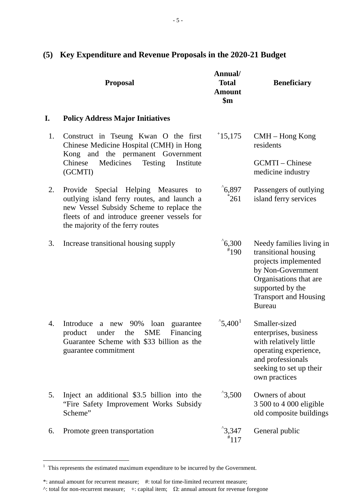|    | <b>Proposal</b>                                                                                                                                                                                                     | Annual/<br><b>Total</b><br><b>Amount</b><br>$\mathbf{\$m}$ | <b>Beneficiary</b>                                                                                                                                                                           |
|----|---------------------------------------------------------------------------------------------------------------------------------------------------------------------------------------------------------------------|------------------------------------------------------------|----------------------------------------------------------------------------------------------------------------------------------------------------------------------------------------------|
| I. | <b>Policy Address Major Initiatives</b>                                                                                                                                                                             |                                                            |                                                                                                                                                                                              |
| 1. | Construct in Tseung Kwan O the first<br>Chinese Medicine Hospital (CMH) in Hong<br>Kong and the permanent Government<br>Medicines<br><b>Testing</b><br>Institute<br>Chinese<br>(GCMTI)                              | 15,175                                                     | $CMH - Hong Kong$<br>residents<br>GCMTI - Chinese<br>medicine industry                                                                                                                       |
| 2. | Provide Special Helping Measures<br>to<br>outlying island ferry routes, and launch a<br>new Vessel Subsidy Scheme to replace the<br>fleets of and introduce greener vessels for<br>the majority of the ferry routes | $^{\circ}6,897$<br>$^*261$                                 | Passengers of outlying<br>island ferry services                                                                                                                                              |
| 3. | Increase transitional housing supply                                                                                                                                                                                | $^{\circ}6,300$<br>$*190$                                  | Needy families living in<br>transitional housing<br>projects implemented<br>by Non-Government<br>Organisations that are<br>supported by the<br><b>Transport and Housing</b><br><b>Bureau</b> |
| 4. | Introduce<br>90%<br>loan<br>guarantee<br>a new<br>product<br><b>SME</b><br>Financing<br>under<br>the<br>Guarantee Scheme with \$33 billion as the<br>guarantee commitment                                           | $^{\circ}$ 5,400 <sup>1</sup>                              | Smaller-sized<br>enterprises, business<br>with relatively little<br>operating experience,<br>and professionals<br>seeking to set up their<br>own practices                                   |
| 5. | Inject an additional \$3.5 billion into the<br>"Fire Safety Improvement Works Subsidy<br>Scheme"                                                                                                                    | $^{\degree}3,500$                                          | Owners of about<br>3 500 to 4 000 eligible<br>old composite buildings                                                                                                                        |
| 6. | Promote green transportation                                                                                                                                                                                        | $^{\degree}3,347$<br>$*117$                                | General public                                                                                                                                                                               |

# **(5) Key Expenditure and Revenue Proposals in the 2020-21 Budget**

<span id="page-4-0"></span> $1$  This represents the estimated maximum expenditure to be incurred by the Government.

<sup>\*:</sup> annual amount for recurrent measure; #: total for time-limited recurrent measure; ^: total for non-recurrent measure;  $+$ : capital item;  $\Omega$ : annual amount for revenue foregone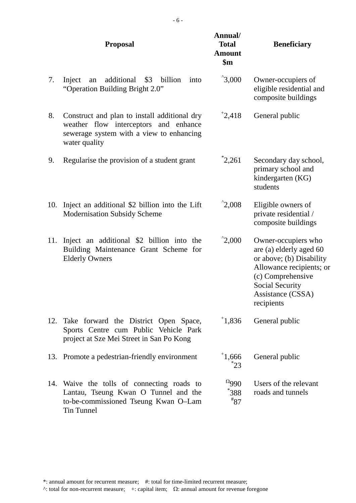|     | <b>Proposal</b>                                                                                                                                    | Annual/<br><b>Total</b><br><b>Amount</b><br>$\sin$ | <b>Beneficiary</b>                                                                                                                                                                |
|-----|----------------------------------------------------------------------------------------------------------------------------------------------------|----------------------------------------------------|-----------------------------------------------------------------------------------------------------------------------------------------------------------------------------------|
| 7.  | additional<br>$\sqrt{3}$<br>billion<br>into<br>Inject<br>an<br>"Operation Building Bright 2.0"                                                     | $^{\degree}3,000$                                  | Owner-occupiers of<br>eligible residential and<br>composite buildings                                                                                                             |
| 8.  | Construct and plan to install additional dry<br>weather flow interceptors and enhance<br>sewerage system with a view to enhancing<br>water quality | 12,418                                             | General public                                                                                                                                                                    |
| 9.  | Regularise the provision of a student grant                                                                                                        | $i_{2,261}$                                        | Secondary day school,<br>primary school and<br>kindergarten (KG)<br>students                                                                                                      |
| 10. | Inject an additional \$2 billion into the Lift<br><b>Modernisation Subsidy Scheme</b>                                                              | $^{\circ}2,008$                                    | Eligible owners of<br>private residential /<br>composite buildings                                                                                                                |
| 11. | Inject an additional \$2 billion into the<br>Building Maintenance Grant Scheme for<br><b>Elderly Owners</b>                                        | $^{\degree}2,000$                                  | Owner-occupiers who<br>are (a) elderly aged 60<br>or above; (b) Disability<br>Allowance recipients; or<br>(c) Comprehensive<br>Social Security<br>Assistance (CSSA)<br>recipients |
| 12. | Take forward the District Open Space,<br>Sports Centre cum Public Vehicle Park<br>project at Sze Mei Street in San Po Kong                         | 1,836                                              | General public                                                                                                                                                                    |
|     | 13. Promote a pedestrian-friendly environment                                                                                                      | 1,666<br>$^*23$                                    | General public                                                                                                                                                                    |
| 14. | Waive the tolls of connecting roads to<br>Lantau, Tseung Kwan O Tunnel and the<br>to-be-commissioned Tseung Kwan O-Lam<br><b>Tin Tunnel</b>        | $^{0}$ 990<br>$^*388$<br>$*_{87}$                  | Users of the relevant<br>roads and tunnels                                                                                                                                        |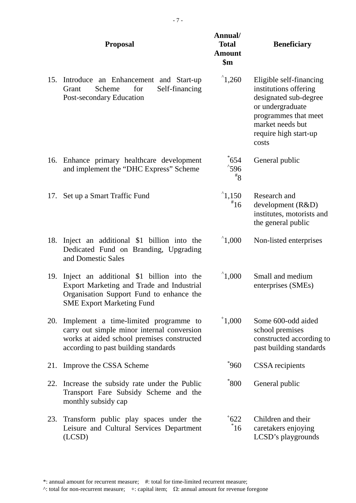|     | <b>Proposal</b>                                                                                                                                                           | Annual/<br><b>Total</b><br><b>Amount</b><br>$\mathbf{\$m}$ | <b>Beneficiary</b>                                                                                                                                                          |
|-----|---------------------------------------------------------------------------------------------------------------------------------------------------------------------------|------------------------------------------------------------|-----------------------------------------------------------------------------------------------------------------------------------------------------------------------------|
| 15. | Introduce an Enhancement and Start-up<br>Self-financing<br>Scheme<br>for<br>Grant<br>Post-secondary Education                                                             | $^{\circ}1,260$                                            | Eligible self-financing<br>institutions offering<br>designated sub-degree<br>or undergraduate<br>programmes that meet<br>market needs but<br>require high start-up<br>costs |
|     | 16. Enhance primary healthcare development<br>and implement the "DHC Express" Scheme                                                                                      | $\degree$ 654<br>$^{\degree}$ 596<br>$*_{8}$               | General public                                                                                                                                                              |
| 17. | Set up a Smart Traffic Fund                                                                                                                                               | $^{\circ}1,150$<br>$*16$                                   | Research and<br>development (R&D)<br>institutes, motorists and<br>the general public                                                                                        |
| 18. | Inject an additional \$1 billion into the<br>Dedicated Fund on Branding, Upgrading<br>and Domestic Sales                                                                  | $^{\circ}1,000$                                            | Non-listed enterprises                                                                                                                                                      |
| 19. | Inject an additional \$1 billion into the<br>Export Marketing and Trade and Industrial<br>Organisation Support Fund to enhance the<br><b>SME Export Marketing Fund</b>    | $^{\circ}1,000$                                            | Small and medium<br>enterprises (SMEs)                                                                                                                                      |
| 20. | Implement a time-limited programme to<br>carry out simple minor internal conversion<br>works at aided school premises constructed<br>according to past building standards | $^{\dagger}1,000$                                          | Some 600-odd aided<br>school premises<br>constructed according to<br>past building standards                                                                                |
| 21. | Improve the CSSA Scheme                                                                                                                                                   | $^*960$                                                    | <b>CSSA</b> recipients                                                                                                                                                      |
| 22. | Increase the subsidy rate under the Public<br>Transport Fare Subsidy Scheme and the<br>monthly subsidy cap                                                                | *800                                                       | General public                                                                                                                                                              |
| 23. | Transform public play spaces under the<br>Leisure and Cultural Services Department<br>(LCSD)                                                                              | $+622$<br>$\degree$ 16                                     | Children and their<br>caretakers enjoying<br>LCSD's playgrounds                                                                                                             |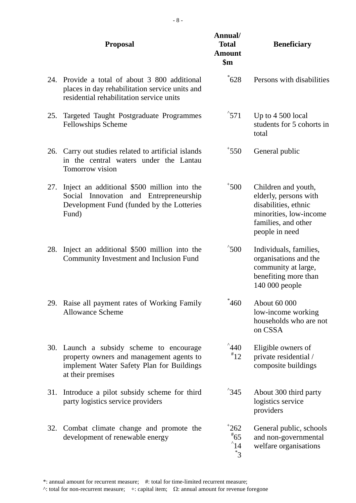|     | <b>Proposal</b>                                                                                                                                    | Annual/<br><b>Total</b><br><b>Amount</b><br>$\mathbf{\$m}$ | <b>Beneficiary</b>                                                                                                                      |
|-----|----------------------------------------------------------------------------------------------------------------------------------------------------|------------------------------------------------------------|-----------------------------------------------------------------------------------------------------------------------------------------|
| 24. | Provide a total of about 3 800 additional<br>places in day rehabilitation service units and<br>residential rehabilitation service units            | $\degree$ 628                                              | Persons with disabilities                                                                                                               |
| 25. | Targeted Taught Postgraduate Programmes<br>Fellowships Scheme                                                                                      | $^{\degree}571$                                            | Up to $4\,500$ local<br>students for 5 cohorts in<br>total                                                                              |
| 26. | Carry out studies related to artificial islands<br>in the central waters under the Lantau<br>Tomorrow vision                                       | $*550$                                                     | General public                                                                                                                          |
| 27. | Inject an additional \$500 million into the<br>Social Innovation and Entrepreneurship<br>Development Fund (funded by the Lotteries<br>Fund)        | $*500$                                                     | Children and youth,<br>elderly, persons with<br>disabilities, ethnic<br>minorities, low-income<br>families, and other<br>people in need |
| 28. | Inject an additional \$500 million into the<br><b>Community Investment and Inclusion Fund</b>                                                      | $^{\degree}500$                                            | Individuals, families,<br>organisations and the<br>community at large,<br>benefiting more than<br>140 000 people                        |
| 29. | Raise all payment rates of Working Family<br><b>Allowance Scheme</b>                                                                               | 460                                                        | About 60 000<br>low-income working<br>households who are not<br>on CSSA                                                                 |
| 30. | Launch a subsidy scheme to encourage<br>property owners and management agents to<br>implement Water Safety Plan for Buildings<br>at their premises | $^4440$<br>$*12$                                           | Eligible owners of<br>private residential /<br>composite buildings                                                                      |
| 31. | Introduce a pilot subsidy scheme for third<br>party logistics service providers                                                                    | $^{\degree}345$                                            | About 300 third party<br>logistics service<br>providers                                                                                 |
| 32. | Combat climate change and promote the<br>development of renewable energy                                                                           | 1262<br>$*_{65}$<br>$^{\circ}14$<br>$3^*$                  | General public, schools<br>and non-governmental<br>welfare organisations                                                                |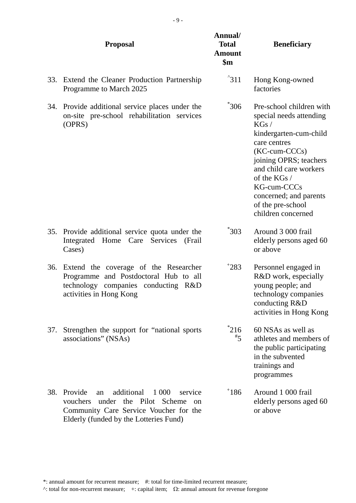|     | <b>Proposal</b>                                                                                                                                                                           | Annual/<br><b>Total</b><br><b>Amount</b><br>$\mathbf{\$m}$ | <b>Beneficiary</b>                                                                                                                                                                                                                                                                   |
|-----|-------------------------------------------------------------------------------------------------------------------------------------------------------------------------------------------|------------------------------------------------------------|--------------------------------------------------------------------------------------------------------------------------------------------------------------------------------------------------------------------------------------------------------------------------------------|
| 33. | Extend the Cleaner Production Partnership<br>Programme to March 2025                                                                                                                      | $^{\degree}311$                                            | Hong Kong-owned<br>factories                                                                                                                                                                                                                                                         |
| 34. | Provide additional service places under the<br>on-site pre-school rehabilitation services<br>(OPRS)                                                                                       | $^*306$                                                    | Pre-school children with<br>special needs attending<br>KGs/<br>kindergarten-cum-child<br>care centres<br>$(KC$ -cum- $CCCs)$<br>joining OPRS; teachers<br>and child care workers<br>of the KGs /<br>KG-cum-CCCs<br>concerned; and parents<br>of the pre-school<br>children concerned |
| 35. | Provide additional service quota under the<br>Home<br>Integrated<br>Care<br>Services<br>(Frail<br>Cases)                                                                                  | $\degree$ 303                                              | Around 3 000 frail<br>elderly persons aged 60<br>or above                                                                                                                                                                                                                            |
|     | 36. Extend the coverage of the Researcher<br>Programme and Postdoctoral Hub to all<br>technology companies conducting R&D<br>activities in Hong Kong                                      | 1283                                                       | Personnel engaged in<br>R&D work, especially<br>young people; and<br>technology companies<br>conducting R&D<br>activities in Hong Kong                                                                                                                                               |
| 37. | Strengthen the support for "national sports"<br>associations" (NSAs)                                                                                                                      | $^*216$<br>$\overline{5}$                                  | 60 NSAs as well as<br>athletes and members of<br>the public participating<br>in the subvented<br>trainings and<br>programmes                                                                                                                                                         |
| 38. | Provide<br>additional<br>1 0 0 0<br>service<br>an<br>the Pilot Scheme<br>under<br>vouchers<br>$^{on}$<br>Community Care Service Voucher for the<br>Elderly (funded by the Lotteries Fund) | 186                                                        | Around 1 000 frail<br>elderly persons aged 60<br>or above                                                                                                                                                                                                                            |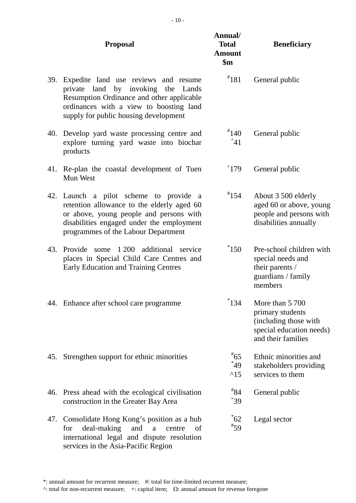|     | <b>Proposal</b>                                                                                                                                                                                                     | Annual/<br><b>Total</b><br><b>Amount</b><br>$\mathbf{\$m}$ | <b>Beneficiary</b>                                                                                             |
|-----|---------------------------------------------------------------------------------------------------------------------------------------------------------------------------------------------------------------------|------------------------------------------------------------|----------------------------------------------------------------------------------------------------------------|
| 39. | Expedite land use reviews and resume<br>private land by invoking the Lands<br>Resumption Ordinance and other applicable<br>ordinances with a view to boosting land<br>supply for public housing development         | $*181$                                                     | General public                                                                                                 |
|     | 40. Develop yard waste processing centre and<br>explore turning yard waste into biochar<br>products                                                                                                                 | $*140$<br>$^{+41}$                                         | General public                                                                                                 |
|     | 41. Re-plan the coastal development of Tuen<br>Mun West                                                                                                                                                             | 179                                                        | General public                                                                                                 |
|     | 42. Launch a pilot scheme to provide a<br>retention allowance to the elderly aged 60<br>or above, young people and persons with<br>disabilities engaged under the employment<br>programmes of the Labour Department | $*154$                                                     | About 3 500 elderly<br>aged 60 or above, young<br>people and persons with<br>disabilities annually             |
| 43. | Provide<br>some 1 200 additional service<br>places in Special Child Care Centres and<br><b>Early Education and Training Centres</b>                                                                                 | $^*$ 150                                                   | Pre-school children with<br>special needs and<br>their parents /<br>guardians / family<br>members              |
|     | 44. Enhance after school care programme                                                                                                                                                                             | 134                                                        | More than 5 700<br>primary students<br>(including those with<br>special education needs)<br>and their families |
| 45. | Strengthen support for ethnic minorities                                                                                                                                                                            | $*65$<br>$^*49$<br>$^{\wedge}15$                           | Ethnic minorities and<br>stakeholders providing<br>services to them                                            |
|     | 46. Press ahead with the ecological civilisation<br>construction in the Greater Bay Area                                                                                                                            | $*_{84}$<br>$+39$                                          | General public                                                                                                 |
| 47. | Consolidate Hong Kong's position as a hub<br>deal-making<br>and<br>for<br>a<br>centre<br>of<br>international legal and dispute resolution<br>services in the Asia-Pacific Region                                    | $\degree$ 62<br>$*_{59}$                                   | Legal sector                                                                                                   |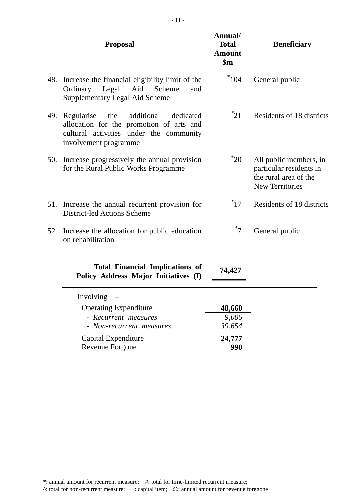|     | <b>Proposal</b>                                                                                                                                              | Annual/<br><b>Total</b><br><b>Amount</b><br>$\mathbf{\$m}$ | <b>Beneficiary</b>                                                                                   |
|-----|--------------------------------------------------------------------------------------------------------------------------------------------------------------|------------------------------------------------------------|------------------------------------------------------------------------------------------------------|
| 48. | Increase the financial eligibility limit of the<br>Ordinary Legal<br>Aid<br>Scheme<br>and<br>Supplementary Legal Aid Scheme                                  | $*104$                                                     | General public                                                                                       |
| 49. | the<br>additional<br>dedicated<br>Regularise<br>allocation for the promotion of arts and<br>cultural activities under the community<br>involvement programme | $^*21$                                                     | Residents of 18 districts                                                                            |
| 50. | Increase progressively the annual provision<br>for the Rural Public Works Programme                                                                          | $\overline{20}$                                            | All public members, in<br>particular residents in<br>the rural area of the<br><b>New Territories</b> |
|     | 51. Increase the annual recurrent provision for<br>District-led Actions Scheme                                                                               | $^*17$                                                     | Residents of 18 districts                                                                            |
| 52. | Increase the allocation for public education<br>on rehabilitation                                                                                            | $7^*$                                                      | General public                                                                                       |
|     | <b>Total Financial Implications of</b><br>Policy Address Major Initiatives (I)                                                                               | 74,427                                                     |                                                                                                      |
|     | Involving                                                                                                                                                    |                                                            |                                                                                                      |
|     | <b>Operating Expenditure</b>                                                                                                                                 | 48,660                                                     |                                                                                                      |
|     | - Recurrent measures                                                                                                                                         | 9,006                                                      |                                                                                                      |
|     | - Non-recurrent measures                                                                                                                                     | 39,654                                                     |                                                                                                      |
|     | Capital Expenditure<br>Revenue Forgone                                                                                                                       | 24,777<br>990                                              |                                                                                                      |
|     |                                                                                                                                                              |                                                            |                                                                                                      |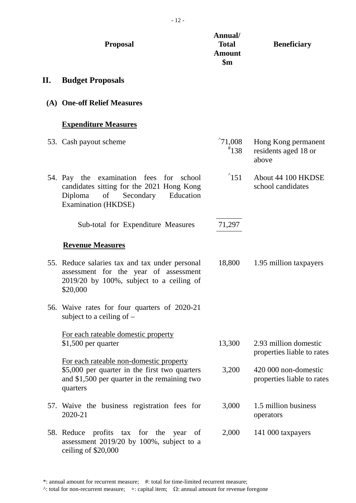|    | <b>Proposal</b>                                                                                                                                        | Annual/<br><b>Total</b><br><b>Amount</b><br>$\mathbf{\$m}$ | <b>Beneficiary</b>                                   |
|----|--------------------------------------------------------------------------------------------------------------------------------------------------------|------------------------------------------------------------|------------------------------------------------------|
| П. | <b>Budget Proposals</b>                                                                                                                                |                                                            |                                                      |
|    | (A) One-off Relief Measures                                                                                                                            |                                                            |                                                      |
|    | <b>Expenditure Measures</b>                                                                                                                            |                                                            |                                                      |
|    | 53. Cash payout scheme                                                                                                                                 | $^{\circ}71,008$<br>$*138$                                 | Hong Kong permanent<br>residents aged 18 or<br>above |
|    | 54. Pay the examination fees for school<br>candidates sitting for the 2021 Hong Kong<br>of<br>Education<br>Diploma<br>Secondary<br>Examination (HKDSE) | $^{\circ}151$                                              | About 44 100 HKDSE<br>school candidates              |
|    | Sub-total for Expenditure Measures                                                                                                                     | 71,297                                                     |                                                      |
|    | <b>Revenue Measures</b>                                                                                                                                |                                                            |                                                      |
|    | 55. Reduce salaries tax and tax under personal<br>assessment for the year of assessment<br>$2019/20$ by 100%, subject to a ceiling of<br>\$20,000      | 18,800                                                     | 1.95 million taxpayers                               |
|    | 56. Waive rates for four quarters of 2020-21<br>subject to a ceiling of $-$                                                                            |                                                            |                                                      |
|    | For each rateable domestic property<br>$$1,500$ per quarter                                                                                            | 13,300                                                     | 2.93 million domestic<br>properties liable to rates  |
|    | For each rateable non-domestic property<br>\$5,000 per quarter in the first two quarters<br>and \$1,500 per quarter in the remaining two<br>quarters   | 3,200                                                      | 420 000 non-domestic<br>properties liable to rates   |
|    | 57. Waive the business registration fees for<br>2020-21                                                                                                | 3,000                                                      | 1.5 million business<br>operators                    |
|    | 58. Reduce profits tax for the year<br>of<br>assessment 2019/20 by 100%, subject to a<br>ceiling of \$20,000                                           | 2,000                                                      | 141 000 taxpayers                                    |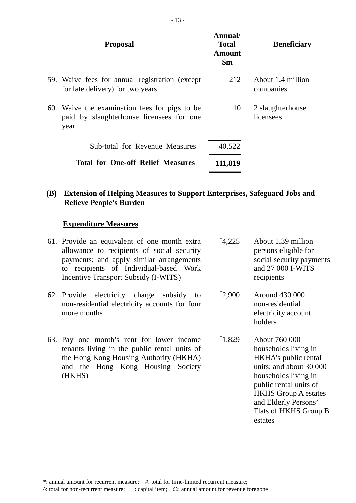| <b>Proposal</b>                                                                                   | Annual/<br><b>Total</b><br><b>Amount</b><br>$\mathbf{\$m}$ | <b>Beneficiary</b>             |
|---------------------------------------------------------------------------------------------------|------------------------------------------------------------|--------------------------------|
| 59. Waive fees for annual registration (except<br>for late delivery) for two years                | 212                                                        | About 1.4 million<br>companies |
| 60. Waive the examination fees for pigs to be<br>paid by slaughterhouse licensees for one<br>year | 10                                                         | 2 slaughterhouse<br>licensees  |
| <b>Sub-total for Revenue Measures</b>                                                             | 40,522                                                     |                                |
| <b>Total for One-off Relief Measures</b>                                                          | 111,819                                                    |                                |

#### **(B) Extension of Helping Measures to Support Enterprises, Safeguard Jobs and Relieve People's Burden**

#### **Expenditure Measures**

- 61. Provide an equivalent of one month extra allowance to recipients of social security payments; and apply similar arrangements to recipients of Individual-based Work Incentive Transport Subsidy (I-WITS)  $^{\degree}4.225$
- 62. Provide electricity charge subsidy to non-residential electricity accounts for four more months
- 63. Pay one month's rent for lower income tenants living in the public rental units of the Hong Kong Housing Authority (HKHA) and the Hong Kong Housing Society (HKHS)
- About 1.39 million persons eligible for social security payments and 27 000 I-WITS recipients
- $^{\circ}2,900$ Around 430 000 non-residential electricity account holders
- $^{\circ}1.829$ About 760 000 households living in HKHA's public rental units; and about 30 000 households living in public rental units of HKHS Group A estates and Elderly Persons' Flats of HKHS Group B estates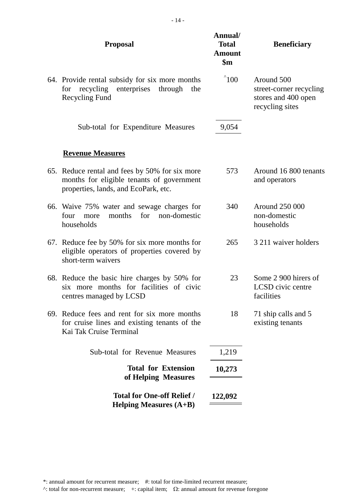| <b>Proposal</b>                                                                                                                     | Annual/<br><b>Total</b><br><b>Amount</b><br>$\mathbf{\$m}$ | <b>Beneficiary</b>                                                              |
|-------------------------------------------------------------------------------------------------------------------------------------|------------------------------------------------------------|---------------------------------------------------------------------------------|
| 64. Provide rental subsidy for six more months<br>recycling<br>enterprises<br>through<br>for<br>the<br><b>Recycling Fund</b>        | $^{\circ}100$                                              | Around 500<br>street-corner recycling<br>stores and 400 open<br>recycling sites |
| Sub-total for Expenditure Measures                                                                                                  | 9,054                                                      |                                                                                 |
| <b>Revenue Measures</b>                                                                                                             |                                                            |                                                                                 |
| 65. Reduce rental and fees by 50% for six more<br>months for eligible tenants of government<br>properties, lands, and EcoPark, etc. | 573                                                        | Around 16 800 tenants<br>and operators                                          |
| 66. Waive 75% water and sewage charges for<br>months<br>non-domestic<br>for<br>four<br>more<br>households                           | 340                                                        | Around 250 000<br>non-domestic<br>households                                    |
| 67. Reduce fee by 50% for six more months for<br>eligible operators of properties covered by<br>short-term waivers                  | 265                                                        | 3 211 waiver holders                                                            |
| 68. Reduce the basic hire charges by 50% for<br>six more months for facilities of civic<br>centres managed by LCSD                  | 23                                                         | Some 2 900 hirers of<br>LCSD civic centre<br>facilities                         |
| 69. Reduce fees and rent for six more months<br>for cruise lines and existing tenants of the<br>Kai Tak Cruise Terminal             | 18                                                         | 71 ship calls and 5<br>existing tenants                                         |
| Sub-total for Revenue Measures                                                                                                      | 1,219                                                      |                                                                                 |
| <b>Total for Extension</b><br>of Helping Measures                                                                                   | 10,273                                                     |                                                                                 |
| <b>Total for One-off Relief /</b><br>Helping Measures $(A+B)$                                                                       | 122,092                                                    |                                                                                 |
|                                                                                                                                     |                                                            |                                                                                 |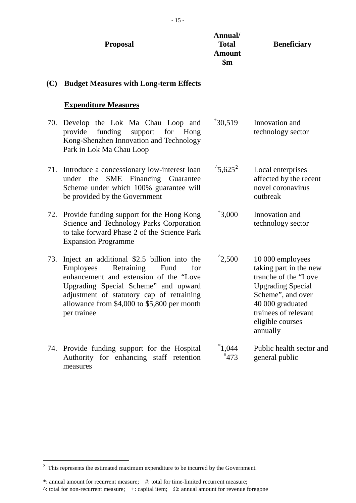|     | <b>Proposal</b>                                                                                                                                                                                                                                                                           | Annual/<br><b>Total</b><br><b>Amount</b><br>$\mathbf{\$m}$ | <b>Beneficiary</b>                                                                                                                                                                               |  |
|-----|-------------------------------------------------------------------------------------------------------------------------------------------------------------------------------------------------------------------------------------------------------------------------------------------|------------------------------------------------------------|--------------------------------------------------------------------------------------------------------------------------------------------------------------------------------------------------|--|
| (C) | <b>Budget Measures with Long-term Effects</b>                                                                                                                                                                                                                                             |                                                            |                                                                                                                                                                                                  |  |
|     | <b>Expenditure Measures</b>                                                                                                                                                                                                                                                               |                                                            |                                                                                                                                                                                                  |  |
| 70. | Develop the Lok Ma Chau Loop and<br>funding<br>provide<br>support<br>for<br>Hong<br>Kong-Shenzhen Innovation and Technology<br>Park in Lok Ma Chau Loop                                                                                                                                   | $*30,519$                                                  | Innovation and<br>technology sector                                                                                                                                                              |  |
| 71. | Introduce a concessionary low-interest loan<br>SME Financing Guarantee<br>under the<br>Scheme under which 100% guarantee will<br>be provided by the Government                                                                                                                            | $^{\circ}5,625^2$                                          | Local enterprises<br>affected by the recent<br>novel coronavirus<br>outbreak                                                                                                                     |  |
|     | 72. Provide funding support for the Hong Kong<br>Science and Technology Parks Corporation<br>to take forward Phase 2 of the Science Park<br><b>Expansion Programme</b>                                                                                                                    | $*3,000$                                                   | Innovation and<br>technology sector                                                                                                                                                              |  |
| 73. | Inject an additional \$2.5 billion into the<br>Retraining<br><b>Employees</b><br>Fund<br>for<br>enhancement and extension of the "Love<br>Upgrading Special Scheme" and upward<br>adjustment of statutory cap of retraining<br>allowance from \$4,000 to \$5,800 per month<br>per trainee | $^{\degree}2,500$                                          | 10 000 employees<br>taking part in the new<br>tranche of the "Love"<br><b>Upgrading Special</b><br>Scheme", and over<br>40 000 graduated<br>trainees of relevant<br>eligible courses<br>annually |  |
|     | 74. Provide funding support for the Hospital<br>Authority for enhancing staff retention<br>measures                                                                                                                                                                                       | $^*1,044$<br>$*473$                                        | Public health sector and<br>general public                                                                                                                                                       |  |

<span id="page-14-0"></span> <sup>2</sup> This represents the estimated maximum expenditure to be incurred by the Government.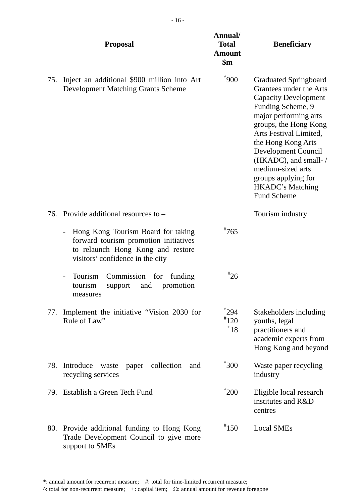|     | <b>Proposal</b>                                                                                                                                      | Annual/<br><b>Total</b><br><b>Amount</b><br>$\mathbf{\$m}$ | <b>Beneficiary</b>                                                                                                                                                                                                                                                                                                                                        |
|-----|------------------------------------------------------------------------------------------------------------------------------------------------------|------------------------------------------------------------|-----------------------------------------------------------------------------------------------------------------------------------------------------------------------------------------------------------------------------------------------------------------------------------------------------------------------------------------------------------|
| 75. | Inject an additional \$900 million into Art<br><b>Development Matching Grants Scheme</b>                                                             | $^{\circ}900$                                              | <b>Graduated Springboard</b><br>Grantees under the Arts<br><b>Capacity Development</b><br>Funding Scheme, 9<br>major performing arts<br>groups, the Hong Kong<br>Arts Festival Limited,<br>the Hong Kong Arts<br>Development Council<br>(HKADC), and small-/<br>medium-sized arts<br>groups applying for<br><b>HKADC's Matching</b><br><b>Fund Scheme</b> |
| 76. | Provide additional resources to –                                                                                                                    |                                                            | Tourism industry                                                                                                                                                                                                                                                                                                                                          |
|     | Hong Kong Tourism Board for taking<br>forward tourism promotion initiatives<br>to relaunch Hong Kong and restore<br>visitors' confidence in the city | $*765$                                                     |                                                                                                                                                                                                                                                                                                                                                           |
|     | Tourism<br>Commission for<br>funding<br>tourism<br>support<br>and<br>promotion<br>measures                                                           | $*_{26}$                                                   |                                                                                                                                                                                                                                                                                                                                                           |
| 77. | Implement the initiative "Vision 2030 for<br>Rule of Law"                                                                                            | $^{\prime}$ 294<br>$*120$<br>18                            | Stakeholders including<br>youths, legal<br>practitioners and<br>academic experts from<br>Hong Kong and beyond                                                                                                                                                                                                                                             |
| 78. | Introduce<br>collection<br>waste<br>paper<br>and<br>recycling services                                                                               | $^*300$                                                    | Waste paper recycling<br>industry                                                                                                                                                                                                                                                                                                                         |
| 79. | Establish a Green Tech Fund                                                                                                                          | $^{\prime}200$                                             | Eligible local research<br>institutes and R&D<br>centres                                                                                                                                                                                                                                                                                                  |
| 80. | Provide additional funding to Hong Kong<br>Trade Development Council to give more<br>support to SMEs                                                 | $*150$                                                     | <b>Local SMEs</b>                                                                                                                                                                                                                                                                                                                                         |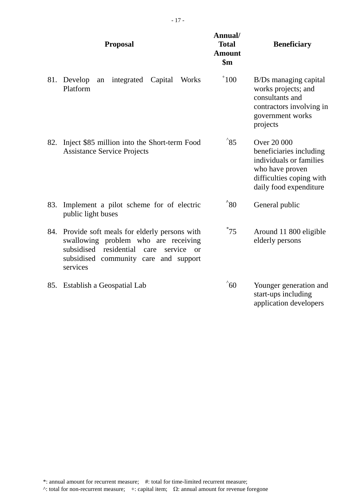|     | <b>Proposal</b>                                                                                                                                                                                   | Annual/<br><b>Total</b><br><b>Amount</b><br>$\mathbf{\$m}$ | <b>Beneficiary</b>                                                                                                                                |  |
|-----|---------------------------------------------------------------------------------------------------------------------------------------------------------------------------------------------------|------------------------------------------------------------|---------------------------------------------------------------------------------------------------------------------------------------------------|--|
| 81. | Develop<br>Capital<br>integrated<br>Works<br>an<br>Platform                                                                                                                                       | $^+100$                                                    | B/Ds managing capital<br>works projects; and<br>consultants and<br>contractors involving in<br>government works<br>projects                       |  |
| 82. | Inject \$85 million into the Short-term Food<br><b>Assistance Service Projects</b>                                                                                                                | $^{\wedge}85$                                              | <b>Over 20 000</b><br>beneficiaries including<br>individuals or families<br>who have proven<br>difficulties coping with<br>daily food expenditure |  |
| 83. | Implement a pilot scheme for of electric<br>public light buses                                                                                                                                    | $^{\circ}80$                                               | General public                                                                                                                                    |  |
| 84. | Provide soft meals for elderly persons with<br>swallowing problem who are receiving<br>subsidised residential<br>service<br>care<br>$\alpha$<br>subsidised community care and support<br>services | $^*75$                                                     | Around 11 800 eligible<br>elderly persons                                                                                                         |  |
| 85. | Establish a Geospatial Lab                                                                                                                                                                        | $^{\circ}60$                                               | Younger generation and<br>start-ups including<br>application developers                                                                           |  |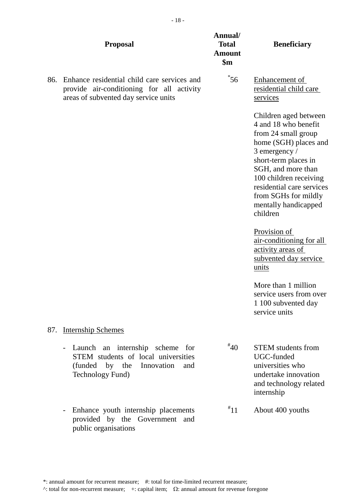|     | <b>Proposal</b>                                                                                                                                               | Annual/<br><b>Total</b><br><b>Amount</b><br>$\mathbf{\$m}$ | <b>Beneficiary</b>                                                                                                                                                                                                                                                                                                                                                                                                                                                           |
|-----|---------------------------------------------------------------------------------------------------------------------------------------------------------------|------------------------------------------------------------|------------------------------------------------------------------------------------------------------------------------------------------------------------------------------------------------------------------------------------------------------------------------------------------------------------------------------------------------------------------------------------------------------------------------------------------------------------------------------|
| 86. | Enhance residential child care services and<br>provide air-conditioning for all activity<br>areas of subvented day service units                              | $^*$ 56                                                    | <b>Enhancement of</b><br>residential child care<br>services                                                                                                                                                                                                                                                                                                                                                                                                                  |
|     |                                                                                                                                                               |                                                            | Children aged between<br>4 and 18 who benefit<br>from 24 small group<br>home (SGH) places and<br>3 emergency /<br>short-term places in<br>SGH, and more than<br>100 children receiving<br>residential care services<br>from SGHs for mildly<br>mentally handicapped<br>children<br>Provision of<br>air-conditioning for all<br>activity areas of<br>subvented day service<br>units<br>More than 1 million<br>service users from over<br>1 100 subvented day<br>service units |
| 87. | <b>Internship Schemes</b>                                                                                                                                     |                                                            |                                                                                                                                                                                                                                                                                                                                                                                                                                                                              |
|     | Launch an internship scheme for<br>$\overline{\phantom{a}}$<br>STEM students of local universities<br>(funded by the<br>Innovation<br>and<br>Technology Fund) | $*_{40}$                                                   | <b>STEM</b> students from<br>UGC-funded<br>universities who<br>undertake innovation<br>and technology related<br>internship                                                                                                                                                                                                                                                                                                                                                  |
|     | Enhance youth internship placements<br>$\overline{\phantom{a}}$<br>provided by the Government and<br>public organisations                                     | $^*11$                                                     | About 400 youths                                                                                                                                                                                                                                                                                                                                                                                                                                                             |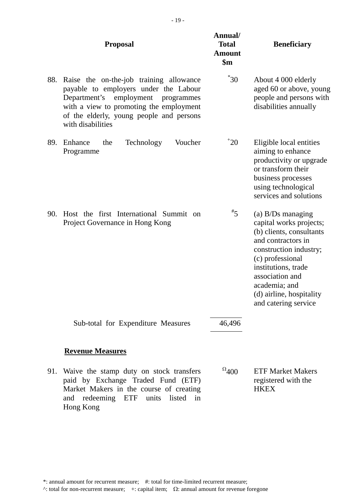|     | <b>Proposal</b>                                                                                                                                                                                                                          | Annual/<br><b>Total</b><br><b>Amount</b><br>$\mathbf{\$m}$ | <b>Beneficiary</b>                                                                                                                                                                                                                                            |  |
|-----|------------------------------------------------------------------------------------------------------------------------------------------------------------------------------------------------------------------------------------------|------------------------------------------------------------|---------------------------------------------------------------------------------------------------------------------------------------------------------------------------------------------------------------------------------------------------------------|--|
| 88. | Raise the on-the-job training allowance<br>payable to employers under the Labour<br>employment<br>Department's<br>programmes<br>with a view to promoting the employment<br>of the elderly, young people and persons<br>with disabilities | $^*30$                                                     | About 4 000 elderly<br>aged 60 or above, young<br>people and persons with<br>disabilities annually                                                                                                                                                            |  |
| 89. | Enhance<br>the<br>Technology<br>Voucher<br>Programme                                                                                                                                                                                     | $^+20$                                                     | Eligible local entities<br>aiming to enhance<br>productivity or upgrade<br>or transform their<br>business processes<br>using technological<br>services and solutions                                                                                          |  |
| 90. | Host the first International Summit on<br>Project Governance in Hong Kong                                                                                                                                                                | $\overline{5}$                                             | (a) $B/Ds$ managing<br>capital works projects;<br>(b) clients, consultants<br>and contractors in<br>construction industry;<br>(c) professional<br>institutions, trade<br>association and<br>academia; and<br>(d) airline, hospitality<br>and catering service |  |
|     | Sub-total for Expenditure Measures                                                                                                                                                                                                       | 46,496                                                     |                                                                                                                                                                                                                                                               |  |
|     | <b>Revenue Measures</b>                                                                                                                                                                                                                  |                                                            |                                                                                                                                                                                                                                                               |  |
| 91. | Waive the stamp duty on stock transfers<br>paid by Exchange Traded Fund (ETF)<br>Market Makers in the course of creating<br>redeeming ETF<br>units<br>listed<br>and<br>in<br>Hong Kong                                                   | $^{0}400$                                                  | <b>ETF Market Makers</b><br>registered with the<br><b>HKEX</b>                                                                                                                                                                                                |  |

- 19 -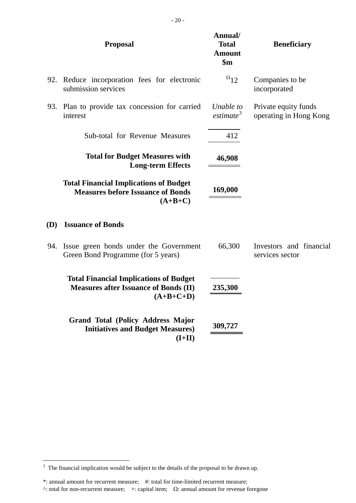|     | <b>Proposal</b>                                                                                              | Annual/<br><b>Total</b><br><b>Amount</b><br>$\mathbf{\$m}$ | <b>Beneficiary</b>                             |  |  |
|-----|--------------------------------------------------------------------------------------------------------------|------------------------------------------------------------|------------------------------------------------|--|--|
| 92. | Reduce incorporation fees for electronic<br>submission services                                              | $^{\Omega}12$                                              | Companies to be<br>incorporated                |  |  |
| 93. | Plan to provide tax concession for carried<br>interest                                                       | Unable to<br>estimate <sup>3</sup>                         | Private equity funds<br>operating in Hong Kong |  |  |
|     | Sub-total for Revenue Measures                                                                               | 412                                                        |                                                |  |  |
|     | <b>Total for Budget Measures with</b><br><b>Long-term Effects</b>                                            | 46,908                                                     |                                                |  |  |
|     | <b>Total Financial Implications of Budget</b><br><b>Measures before Issuance of Bonds</b><br>$(A+B+C)$       | 169,000                                                    |                                                |  |  |
| (D) | <b>Issuance of Bonds</b>                                                                                     |                                                            |                                                |  |  |
| 94. | Issue green bonds under the Government<br>Green Bond Programme (for 5 years)                                 | 66,300                                                     | Investors and financial<br>services sector     |  |  |
|     | <b>Total Financial Implications of Budget</b><br><b>Measures after Issuance of Bonds (II)</b><br>$(A+B+C+D)$ | 235,300                                                    |                                                |  |  |
|     | <b>Grand Total (Policy Address Major</b><br><b>Initiatives and Budget Measures)</b><br>$(I+II)$              | 309,727                                                    |                                                |  |  |

<span id="page-19-0"></span><sup>&</sup>lt;sup>3</sup> The financial implication would be subject to the details of the proposal to be drawn up.

<sup>\*:</sup> annual amount for recurrent measure; #: total for time-limited recurrent measure; ^: total for non-recurrent measure; +: capital item; Ω: annual amount for revenue foregone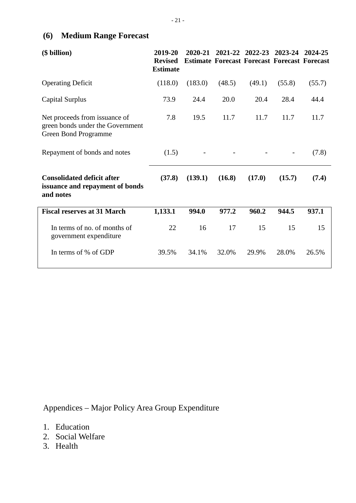# **(6) Medium Range Forecast**

| (\$ billion)                                                                                     | 2019-20<br><b>Revised</b><br><b>Estimate</b> | 2020-21 |        | 2021-22 2022-23 | 2023-24<br><b>Estimate Forecast Forecast Forecast Forecast</b> | 2024-25 |
|--------------------------------------------------------------------------------------------------|----------------------------------------------|---------|--------|-----------------|----------------------------------------------------------------|---------|
| <b>Operating Deficit</b>                                                                         | (118.0)                                      | (183.0) | (48.5) | (49.1)          | (55.8)                                                         | (55.7)  |
| <b>Capital Surplus</b>                                                                           | 73.9                                         | 24.4    | 20.0   | 20.4            | 28.4                                                           | 44.4    |
| Net proceeds from issuance of<br>green bonds under the Government<br><b>Green Bond Programme</b> | 7.8                                          | 19.5    | 11.7   | 11.7            | 11.7                                                           | 11.7    |
| Repayment of bonds and notes                                                                     | (1.5)                                        |         |        |                 | $\overline{\phantom{a}}$                                       | (7.8)   |
| <b>Consolidated deficit after</b><br>issuance and repayment of bonds<br>and notes                | (37.8)                                       | (139.1) | (16.8) | (17.0)          | (15.7)                                                         | (7.4)   |
| <b>Fiscal reserves at 31 March</b>                                                               | 1,133.1                                      | 994.0   | 977.2  | 960.2           | 944.5                                                          | 937.1   |
| In terms of no. of months of<br>government expenditure                                           | 22                                           | 16      | 17     | 15              | 15                                                             | 15      |
| In terms of % of GDP                                                                             | 39.5%                                        | 34.1%   | 32.0%  | 29.9%           | 28.0%                                                          | 26.5%   |

Appendices – Major Policy Area Group Expenditure

- 1. Education
- 2. Social Welfare
- 3. Health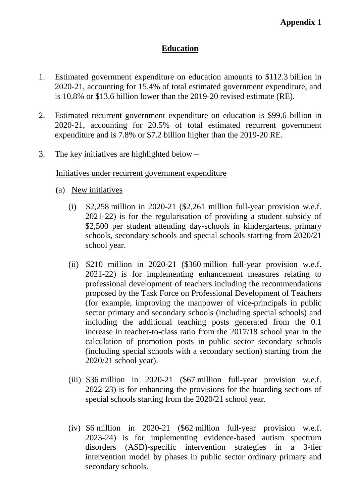# **Education**

- 1. Estimated government expenditure on education amounts to \$112.3 billion in 2020-21, accounting for 15.4% of total estimated government expenditure, and is 10.8% or \$13.6 billion lower than the 2019-20 revised estimate (RE).
- 2. Estimated recurrent government expenditure on education is \$99.6 billion in 2020-21, accounting for 20.5% of total estimated recurrent government expenditure and is 7.8% or \$7.2 billion higher than the 2019-20 RE.
- 3. The key initiatives are highlighted below –

#### Initiatives under recurrent government expenditure

- (a) New initiatives
	- (i)  $$2,258$  million in 2020-21 (\$2,261 million full-year provision w.e.f. 2021-22) is for the regularisation of providing a student subsidy of \$2,500 per student attending day-schools in kindergartens, primary schools, secondary schools and special schools starting from 2020/21 school year.
	- (ii) \$210 million in 2020-21 (\$360 million full-year provision w.e.f. 2021-22) is for implementing enhancement measures relating to professional development of teachers including the recommendations proposed by the Task Force on Professional Development of Teachers (for example, improving the manpower of vice-principals in public sector primary and secondary schools (including special schools) and including the additional teaching posts generated from the 0.1 increase in teacher-to-class ratio from the 2017/18 school year in the calculation of promotion posts in public sector secondary schools (including special schools with a secondary section) starting from the 2020/21 school year).
	- (iii) \$36 million in 2020-21 (\$67 million full-year provision w.e.f. 2022-23) is for enhancing the provisions for the boarding sections of special schools starting from the 2020/21 school year.
	- (iv) \$6 million in 2020-21 (\$62 million full-year provision w.e.f. 2023-24) is for implementing evidence-based autism spectrum disorders (ASD)-specific intervention strategies in a 3-tier intervention model by phases in public sector ordinary primary and secondary schools.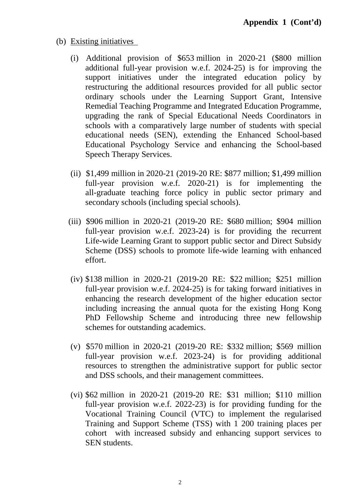- (b) Existing initiatives
	- (i) Additional provision of \$653 million in 2020-21 (\$800 million additional full-year provision w.e.f. 2024-25) is for improving the support initiatives under the integrated education policy by restructuring the additional resources provided for all public sector ordinary schools under the Learning Support Grant, Intensive Remedial Teaching Programme and Integrated Education Programme, upgrading the rank of Special Educational Needs Coordinators in schools with a comparatively large number of students with special educational needs (SEN), extending the Enhanced School-based Educational Psychology Service and enhancing the School-based Speech Therapy Services.
	- (ii) \$1,499 million in 2020-21 (2019-20 RE: \$877 million; \$1,499 million full-year provision w.e.f. 2020-21) is for implementing the all-graduate teaching force policy in public sector primary and secondary schools (including special schools).
	- (iii) \$906 million in 2020-21 (2019-20 RE: \$680 million; \$904 million full-year provision w.e.f. 2023-24) is for providing the recurrent Life-wide Learning Grant to support public sector and Direct Subsidy Scheme (DSS) schools to promote life-wide learning with enhanced effort.
	- (iv) \$138 million in 2020-21 (2019-20 RE: \$22 million; \$251 million full-year provision w.e.f. 2024-25) is for taking forward initiatives in enhancing the research development of the higher education sector including increasing the annual quota for the existing Hong Kong PhD Fellowship Scheme and introducing three new fellowship schemes for outstanding academics.
	- (v) \$570 million in 2020-21 (2019-20 RE: \$332 million; \$569 million full-year provision w.e.f. 2023-24) is for providing additional resources to strengthen the administrative support for public sector and DSS schools, and their management committees.
	- (vi) \$62 million in 2020-21 (2019-20 RE: \$31 million; \$110 million full-year provision w.e.f. 2022-23) is for providing funding for the Vocational Training Council (VTC) to implement the regularised Training and Support Scheme (TSS) with 1 200 training places per cohort with increased subsidy and enhancing support services to SEN students.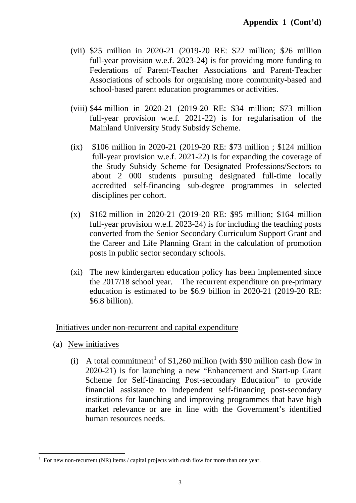- (vii) \$25 million in 2020-21 (2019-20 RE: \$22 million; \$26 million full-year provision w.e.f. 2023-24) is for providing more funding to Federations of Parent-Teacher Associations and Parent-Teacher Associations of schools for organising more community-based and school-based parent education programmes or activities.
- (viii) \$44 million in 2020-21 (2019-20 RE: \$34 million; \$73 million full-year provision w.e.f. 2021-22) is for regularisation of the Mainland University Study Subsidy Scheme.
- (ix) \$106 million in 2020-21 (2019-20 RE: \$73 million ; \$124 million full-year provision w.e.f. 2021-22) is for expanding the coverage of the Study Subsidy Scheme for Designated Professions/Sectors to about 2 000 students pursuing designated full-time locally accredited self-financing sub-degree programmes in selected disciplines per cohort.
- (x) \$162 million in 2020-21 (2019-20 RE: \$95 million; \$164 million full-year provision w.e.f. 2023-24) is for including the teaching posts converted from the Senior Secondary Curriculum Support Grant and the Career and Life Planning Grant in the calculation of promotion posts in public sector secondary schools.
- (xi) The new kindergarten education policy has been implemented since the 2017/18 school year. The recurrent expenditure on pre-primary education is estimated to be \$6.9 billion in 2020-21 (2019-20 RE: \$6.8 billion).

# Initiatives under non-recurrent and capital expenditure

- (a) New initiatives
	- (i) A total commitment<sup>[1](#page-23-0)</sup> of \$1,260 million (with \$90 million cash flow in 2020-21) is for launching a new "Enhancement and Start-up Grant Scheme for Self-financing Post-secondary Education" to provide financial assistance to independent self-financing post-secondary institutions for launching and improving programmes that have high market relevance or are in line with the Government's identified human resources needs.

<span id="page-23-0"></span> <sup>1</sup> For new non-recurrent (NR) items / capital projects with cash flow for more than one year.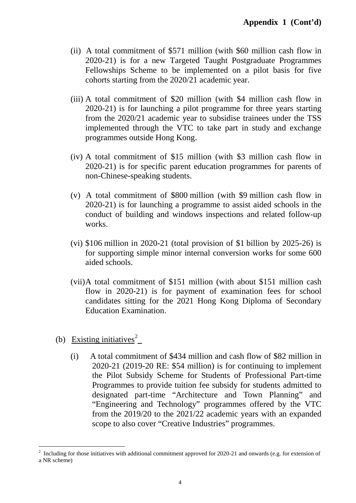- (ii) A total commitment of \$571 million (with \$60 million cash flow in 2020-21) is for a new Targeted Taught Postgraduate Programmes Fellowships Scheme to be implemented on a pilot basis for five cohorts starting from the 2020/21 academic year.
- (iii) A total commitment of \$20 million (with \$4 million cash flow in 2020-21) is for launching a pilot programme for three years starting from the 2020/21 academic year to subsidise trainees under the TSS implemented through the VTC to take part in study and exchange programmes outside Hong Kong.
- (iv) A total commitment of \$15 million (with \$3 million cash flow in 2020-21) is for specific parent education programmes for parents of non-Chinese-speaking students.
- (v) A total commitment of \$800 million (with \$9 million cash flow in 2020-21) is for launching a programme to assist aided schools in the conduct of building and windows inspections and related follow-up works.
- (vi) \$106 million in 2020-21 (total provision of \$1 billion by 2025-26) is for supporting simple minor internal conversion works for some 600 aided schools.
- (vii)A total commitment of \$151 million (with about \$151 million cash flow in 2020-21) is for payment of examination fees for school candidates sitting for the 2021 Hong Kong Diploma of Secondary Education Examination.
- (b) Existing initiatives<sup>[2](#page-24-0)</sup>
	- (i) A total commitment of \$434 million and cash flow of \$82 million in 2020-21 (2019-20 RE: \$54 million) is for continuing to implement the Pilot Subsidy Scheme for Students of Professional Part-time Programmes to provide tuition fee subsidy for students admitted to designated part-time "Architecture and Town Planning" and "Engineering and Technology" programmes offered by the VTC from the 2019/20 to the 2021/22 academic years with an expanded scope to also cover "Creative Industries" programmes.

<span id="page-24-0"></span> $2$  Including for those initiatives with additional commitment approved for 2020-21 and onwards (e.g. for extension of a NR scheme)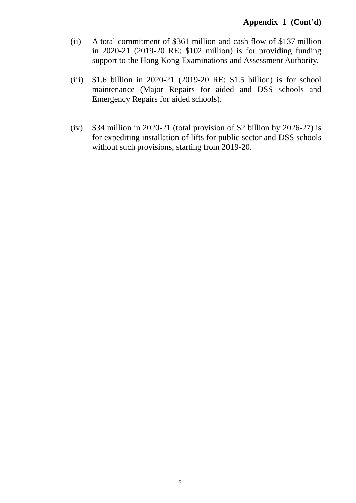- (ii) A total commitment of \$361 million and cash flow of \$137 million in 2020-21 (2019-20 RE: \$102 million) is for providing funding support to the Hong Kong Examinations and Assessment Authority.
- (iii) \$1.6 billion in 2020-21 (2019-20 RE: \$1.5 billion) is for school maintenance (Major Repairs for aided and DSS schools and Emergency Repairs for aided schools).
- (iv) \$34 million in 2020-21 (total provision of \$2 billion by 2026-27) is for expediting installation of lifts for public sector and DSS schools without such provisions, starting from 2019-20.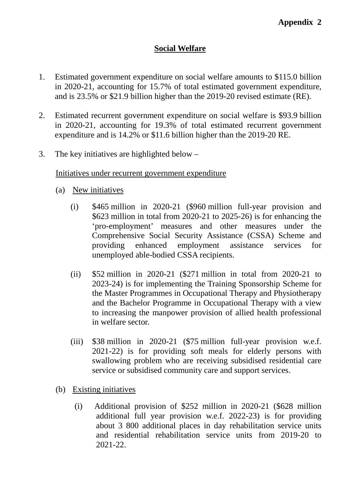# **Social Welfare**

- 1. Estimated government expenditure on social welfare amounts to \$115.0 billion in 2020-21, accounting for 15.7% of total estimated government expenditure, and is 23.5% or \$21.9 billion higher than the 2019-20 revised estimate (RE).
- 2. Estimated recurrent government expenditure on social welfare is \$93.9 billion in 2020-21, accounting for 19.3% of total estimated recurrent government expenditure and is 14.2% or \$11.6 billion higher than the 2019-20 RE.
- 3. The key initiatives are highlighted below –

## Initiatives under recurrent government expenditure

- (a) New initiatives
	- (i) \$465 million in 2020-21 (\$960 million full-year provision and \$623 million in total from 2020-21 to 2025-26) is for enhancing the 'pro-employment' measures and other measures under the Comprehensive Social Security Assistance (CSSA) Scheme and providing enhanced employment assistance services for unemployed able-bodied CSSA recipients.
	- (ii) \$52 million in 2020-21 (\$271 million in total from 2020-21 to 2023-24) is for implementing the Training Sponsorship Scheme for the Master Programmes in Occupational Therapy and Physiotherapy and the Bachelor Programme in Occupational Therapy with a view to increasing the manpower provision of allied health professional in welfare sector.
	- (iii) \$38 million in 2020-21 (\$75 million full-year provision w.e.f. 2021-22) is for providing soft meals for elderly persons with swallowing problem who are receiving subsidised residential care service or subsidised community care and support services.
- (b) Existing initiatives
	- (i) Additional provision of \$252 million in 2020-21 (\$628 million additional full year provision w.e.f. 2022-23) is for providing about 3 800 additional places in day rehabilitation service units and residential rehabilitation service units from 2019-20 to 2021-22.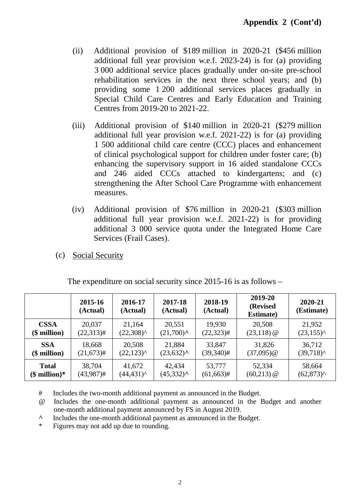- (ii) Additional provision of \$189 million in 2020-21 (\$456 million additional full year provision w.e.f. 2023-24) is for (a) providing 3 000 additional service places gradually under on-site pre-school rehabilitation services in the next three school years; and (b) providing some 1 200 additional services places gradually in Special Child Care Centres and Early Education and Training Centres from 2019-20 to 2021-22.
- (iii) Additional provision of \$140 million in 2020-21 (\$279 million additional full year provision w.e.f. 2021-22) is for (a) providing 1 500 additional child care centre (CCC) places and enhancement of clinical psychological support for children under foster care; (b) enhancing the supervisory support in 16 aided standalone CCCs and 246 aided CCCs attached to kindergartens; and (c) strengthening the After School Care Programme with enhancement measures.
- (iv) Additional provision of \$76 million in 2020-21 (\$303 million additional full year provision w.e.f. 2021-22) is for providing additional 3 000 service quota under the Integrated Home Care Services (Frail Cases).
- (c) Social Security

|               | 2015-16<br>(Actual) | 2016-17<br>(Actual)    | 2017-18<br>(Actual)                       | 2018-19<br>(Actual) | 2019-20<br>(Revised<br><b>Estimate</b> ) | 2020-21<br>(Estimate) |
|---------------|---------------------|------------------------|-------------------------------------------|---------------------|------------------------------------------|-----------------------|
| <b>CSSA</b>   | 20,037              | 21,164                 | 20,551                                    | 19,930              | 20,508                                   | 21,952                |
| $$$ million)  | $(22,313)$ #        | $(22,308)^{\wedge}$    | $(21,700)$ <sup><math>\wedge</math></sup> | $(22, 323)$ #       | $(23, 118)$ @                            | $(23,155)^{\wedge}$   |
| <b>SSA</b>    | 18,668              | 20,508                 | 21,884                                    | 33,847              | 31,826                                   | 36,712                |
| $$$ million)  | $(21, 673)$ #       | $(22, 123)^{\wedge}$   | $(23,632)^{A}$                            | $(39,340)$ #        | $(37,095)$ @                             | $(39,718)^{^}$        |
| <b>Total</b>  | 38,704              | 41,672                 | 42,434                                    | 53,777              | 52,334                                   | 58,664                |
| $$$ million)* | $(43,987)$ #        | $(44, 431)^{^{\circ}}$ | $(45,332)^{A}$                            | $(61, 663)$ #       | $(60,213)$ @                             | $(62, 873)^{\wedge}$  |

The expenditure on social security since 2015-16 is as follows –

# Includes the two-month additional payment as announced in the Budget.

@ Includes the one-month additional payment as announced in the Budget and another one-month additional payment announced by FS in August 2019.

**^** Includes the one-month additional payment as announced in the Budget.

\* Figures may not add up due to rounding.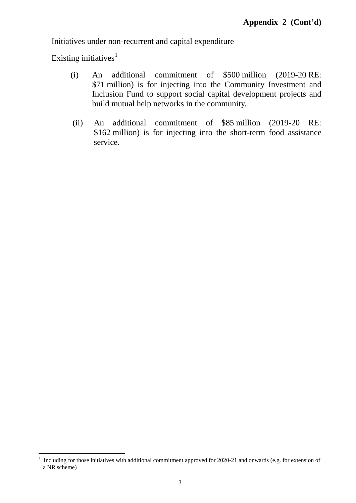Initiatives under non-recurrent and capital expenditure

Existing initiatives $1$ 

- (i) An additional commitment of \$500 million (2019-20 RE: \$71 million) is for injecting into the Community Investment and Inclusion Fund to support social capital development projects and build mutual help networks in the community.
- (ii) An additional commitment of \$85 million (2019-20 RE: \$162 million) is for injecting into the short-term food assistance service.

<span id="page-28-0"></span><sup>&</sup>lt;sup>1</sup> Including for those initiatives with additional commitment approved for 2020-21 and onwards (e.g. for extension of a NR scheme)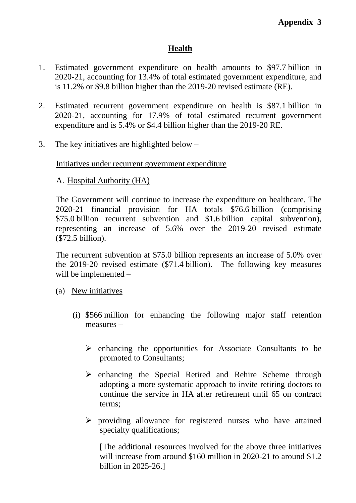# **Health**

- 1. Estimated government expenditure on health amounts to \$97.7 billion in 2020-21, accounting for 13.4% of total estimated government expenditure, and is 11.2% or \$9.8 billion higher than the 2019-20 revised estimate (RE).
- 2. Estimated recurrent government expenditure on health is \$87.1 billion in 2020-21, accounting for 17.9% of total estimated recurrent government expenditure and is 5.4% or \$4.4 billion higher than the 2019-20 RE.
- 3. The key initiatives are highlighted below –

# Initiatives under recurrent government expenditure

# A. Hospital Authority (HA)

The Government will continue to increase the expenditure on healthcare. The 2020-21 financial provision for HA totals \$76.6 billion (comprising \$75.0 billion recurrent subvention and \$1.6 billion capital subvention), representing an increase of 5.6% over the 2019-20 revised estimate (\$72.5 billion).

The recurrent subvention at \$75.0 billion represents an increase of 5.0% over the 2019-20 revised estimate (\$71.4 billion). The following key measures will be implemented –

- (a) New initiatives
	- (i) \$566 million for enhancing the following major staff retention measures –
		- $\triangleright$  enhancing the opportunities for Associate Consultants to be promoted to Consultants;
		- $\triangleright$  enhancing the Special Retired and Rehire Scheme through adopting a more systematic approach to invite retiring doctors to continue the service in HA after retirement until 65 on contract terms;
		- $\triangleright$  providing allowance for registered nurses who have attained specialty qualifications;

[The additional resources involved for the above three initiatives will increase from around \$160 million in 2020-21 to around \$1.2 billion in 2025-26.]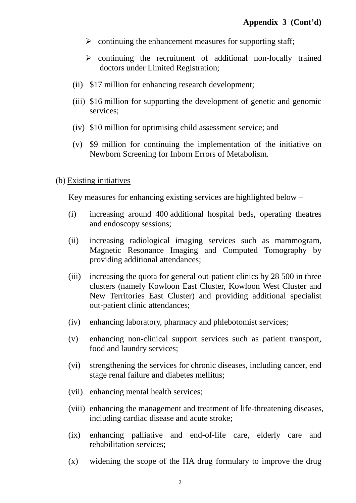- $\triangleright$  continuing the enhancement measures for supporting staff;
- $\triangleright$  continuing the recruitment of additional non-locally trained doctors under Limited Registration;
- (ii) \$17 million for enhancing research development;
- (iii) \$16 million for supporting the development of genetic and genomic services;
- (iv) \$10 million for optimising child assessment service; and
- (v) \$9 million for continuing the implementation of the initiative on Newborn Screening for Inborn Errors of Metabolism.

# (b) Existing initiatives

Key measures for enhancing existing services are highlighted below –

- (i) increasing around 400 additional hospital beds, operating theatres and endoscopy sessions;
- (ii) increasing radiological imaging services such as mammogram, Magnetic Resonance Imaging and Computed Tomography by providing additional attendances;
- (iii) increasing the quota for general out-patient clinics by 28 500 in three clusters (namely Kowloon East Cluster, Kowloon West Cluster and New Territories East Cluster) and providing additional specialist out-patient clinic attendances;
- (iv) enhancing laboratory, pharmacy and phlebotomist services;
- (v) enhancing non-clinical support services such as patient transport, food and laundry services;
- (vi) strengthening the services for chronic diseases, including cancer, end stage renal failure and diabetes mellitus;
- (vii) enhancing mental health services;
- (viii) enhancing the management and treatment of life-threatening diseases, including cardiac disease and acute stroke;
- (ix) enhancing palliative and end-of-life care, elderly care and rehabilitation services;
- (x) widening the scope of the HA drug formulary to improve the drug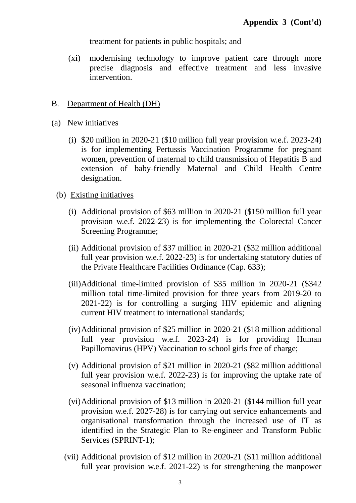treatment for patients in public hospitals; and

(xi) modernising technology to improve patient care through more precise diagnosis and effective treatment and less invasive intervention.

## B. Department of Health (DH)

#### (a) New initiatives

(i) \$20 million in 2020-21 (\$10 million full year provision w.e.f. 2023-24) is for implementing Pertussis Vaccination Programme for pregnant women, prevention of maternal to child transmission of Hepatitis B and extension of baby-friendly Maternal and Child Health Centre designation.

#### (b) Existing initiatives

- (i) Additional provision of \$63 million in 2020-21 (\$150 million full year provision w.e.f. 2022-23) is for implementing the Colorectal Cancer Screening Programme;
- (ii) Additional provision of \$37 million in 2020-21 (\$32 million additional full year provision w.e.f. 2022-23) is for undertaking statutory duties of the Private Healthcare Facilities Ordinance (Cap. 633);
- (iii)Additional time-limited provision of \$35 million in 2020-21 (\$342 million total time-limited provision for three years from 2019-20 to 2021-22) is for controlling a surging HIV epidemic and aligning current HIV treatment to international standards;
- (iv)Additional provision of \$25 million in 2020-21 (\$18 million additional full year provision w.e.f. 2023-24) is for providing Human Papillomavirus (HPV) Vaccination to school girls free of charge;
- (v) Additional provision of \$21 million in 2020-21 (\$82 million additional full year provision w.e.f. 2022-23) is for improving the uptake rate of seasonal influenza vaccination;
- (vi)Additional provision of \$13 million in 2020-21 (\$144 million full year provision w.e.f. 2027-28) is for carrying out service enhancements and organisational transformation through the increased use of IT as identified in the Strategic Plan to Re-engineer and Transform Public Services (SPRINT-1);
- (vii) Additional provision of \$12 million in 2020-21 (\$11 million additional full year provision w.e.f. 2021-22) is for strengthening the manpower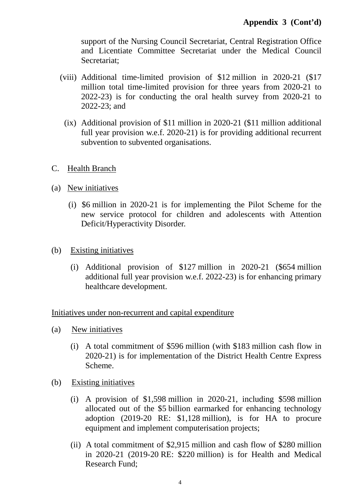support of the Nursing Council Secretariat, Central Registration Office and Licentiate Committee Secretariat under the Medical Council Secretariat;

- (viii) Additional time-limited provision of \$12 million in 2020-21 (\$17 million total time-limited provision for three years from 2020-21 to 2022-23) is for conducting the oral health survey from 2020-21 to 2022-23; and
	- (ix) Additional provision of \$11 million in 2020-21 (\$11 million additional full year provision w.e.f. 2020-21) is for providing additional recurrent subvention to subvented organisations.
- C. Health Branch
- (a) New initiatives
	- (i) \$6 million in 2020-21 is for implementing the Pilot Scheme for the new service protocol for children and adolescents with Attention Deficit/Hyperactivity Disorder.
- (b) Existing initiatives
	- (i) Additional provision of \$127 million in 2020-21 (\$654 million additional full year provision w.e.f. 2022-23) is for enhancing primary healthcare development.

Initiatives under non-recurrent and capital expenditure

- (a) New initiatives
	- (i) A total commitment of \$596 million (with \$183 million cash flow in 2020-21) is for implementation of the District Health Centre Express Scheme.
- (b) Existing initiatives
	- (i) A provision of \$1,598 million in 2020-21, including \$598 million allocated out of the \$5 billion earmarked for enhancing technology adoption (2019-20 RE: \$1,128 million), is for HA to procure equipment and implement computerisation projects;
	- (ii) A total commitment of \$2,915 million and cash flow of \$280 million in 2020-21 (2019-20 RE: \$220 million) is for Health and Medical Research Fund;